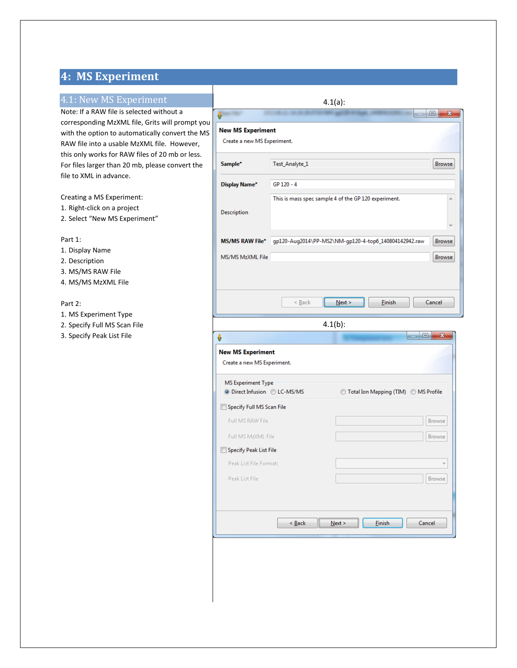# **4: MS Experiment**

# 4.1: New MS Experiment

Note: If a RAW file is selected without a corresponding MzXML file, Grits will prompt you with the option to automatically convert the MS RAW file into a usable MzXML file. However, this only works for RAW files of 20 mb or less. For files larger than 20 mb, please convert the file to XML in advance.

### Creating a MS Experiment:

- 1. Right-click on a project
- 2. Select "New MS Experiment"

#### Part 1:

- 1. Display Name
- 2. Description
- 3. MS/MS RAW File
- 4. MS/MS MzXML File

## Part 2:

- 1. MS Experiment Type
- 2. Specify Full MS Scan File
- 3. Specify Peak List File

|                                                         |                | $4.1(a)$ :                                            |                   |
|---------------------------------------------------------|----------------|-------------------------------------------------------|-------------------|
| Û                                                       |                |                                                       | $\mathbf{x}$<br>▣ |
| <b>New MS Experiment</b>                                |                |                                                       |                   |
| Create a new MS Experiment.                             |                |                                                       |                   |
| Sample*                                                 | Test_Analyte_1 |                                                       | <b>Browse</b>     |
| Display Name*                                           | GP 120 - 4     |                                                       |                   |
|                                                         |                | This is mass spec sample 4 of the GP 120 experiment.  |                   |
| Description                                             |                |                                                       |                   |
|                                                         |                |                                                       |                   |
| <b>MS/MS RAW File*</b>                                  |                | gp120-Aug2014\PP-MS2\NM-gp120-4-top6_140804142942.raw | Browse            |
| MS/MS MzXML File                                        |                |                                                       | <b>Browse</b>     |
|                                                         |                |                                                       |                   |
|                                                         |                |                                                       |                   |
|                                                         |                |                                                       |                   |
|                                                         | $\leq$ Back    | Finish<br>Next                                        | Cancel            |
|                                                         |                | $4.1(b)$ :                                            |                   |
| v                                                       |                |                                                       | o<br>$\mathbf{x}$ |
|                                                         |                |                                                       |                   |
| <b>New MS Experiment</b><br>Create a new MS Experiment. |                |                                                       |                   |
|                                                         |                |                                                       |                   |
| MS Experiment Type                                      |                |                                                       |                   |
| <b>O</b> Direct Infusion © LC-MS/MS                     |                | ◯ Total Ion Mapping (TIM) ◯ MS Profile                |                   |
| Specify Full MS Scan File                               |                |                                                       |                   |
| Full MS RAW File                                        |                |                                                       | <b>Browse</b>     |
| Full MS MzXML File                                      |                |                                                       | Browse            |
| Specify Peak List File                                  |                |                                                       |                   |
| Peak List File Format:                                  |                |                                                       |                   |
| Peak List File                                          |                |                                                       | Browse            |
|                                                         |                |                                                       |                   |
|                                                         |                |                                                       |                   |
|                                                         |                |                                                       |                   |
|                                                         | < <u>B</u> ack | <b>Finish</b><br>Next                                 | Cancel            |
|                                                         |                |                                                       |                   |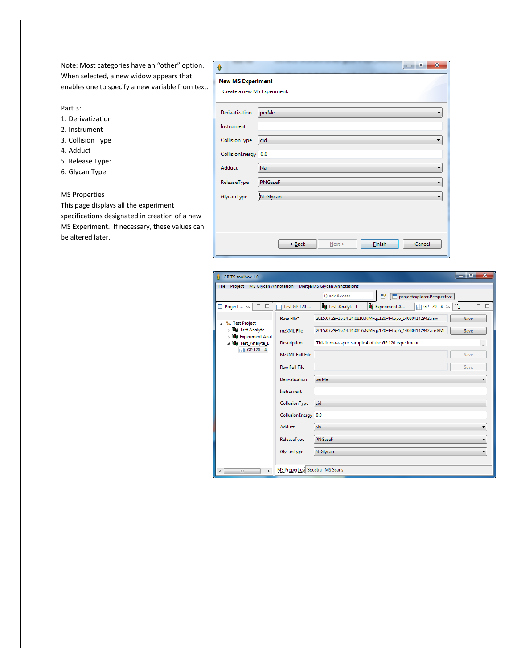Note: Most categories have an "other" option. When selected, a new widow appears that enables one to specify a new variable from text.

Part 3:

- 1. Derivatization
- 2. Instrument
- 3. Collision Type
- 4. Adduct
- 5. Release Type:
- 6. Glycan Type

## MS Properties

This page displays all the experiment specifications designated in creation of a new MS Experiment. If necessary, these values can be altered later.

|                                                         |                             |                      |                                                               |                                                             | x<br>▣                        |                           |
|---------------------------------------------------------|-----------------------------|----------------------|---------------------------------------------------------------|-------------------------------------------------------------|-------------------------------|---------------------------|
| <b>New MS Experiment</b><br>Create a new MS Experiment. |                             |                      |                                                               |                                                             |                               |                           |
| Derivatization                                          | perMe                       |                      |                                                               |                                                             |                               |                           |
| Instrument                                              |                             |                      |                                                               |                                                             |                               |                           |
| CollisionType                                           | cid                         |                      |                                                               |                                                             |                               |                           |
| CollisionEnergy 0.0                                     |                             |                      |                                                               |                                                             |                               |                           |
| Adduct                                                  | Na                          |                      |                                                               |                                                             | ▼                             |                           |
| ReleaseType                                             | PNGaseF                     |                      |                                                               |                                                             | ▼                             |                           |
| GlycanType                                              | N-Glycan                    |                      |                                                               |                                                             |                               |                           |
|                                                         |                             |                      |                                                               |                                                             |                               |                           |
|                                                         |                             |                      |                                                               |                                                             |                               |                           |
|                                                         |                             |                      |                                                               |                                                             |                               |                           |
|                                                         |                             | $\leq$ Back          | Next >                                                        | <b>Einish</b>                                               | Cancel                        |                           |
|                                                         |                             |                      |                                                               |                                                             |                               |                           |
| GRITS toolbox 1.0                                       |                             |                      |                                                               |                                                             |                               | وابها<br>$\mathbf{x}$     |
|                                                         |                             |                      | File Project MS Glycan Annotation Merge MS Glycan Annotations |                                                             |                               |                           |
|                                                         |                             |                      | <b>Quick Access</b>                                           | 瞪!                                                          | Projectexplorer.Perspective   |                           |
| $\Box$ Project $\boxtimes$                              | $\qquad \qquad =$<br>$\Box$ | $\ $ Test GP 120     | Test_Analyte_1                                                | Experiment A                                                | $\frac{1}{2}$ GP 120 - 4 $\%$ | $= 5$<br>$\mathbf{v}_{1}$ |
| <sup>Q</sup> <sub>a</sub> . Test Project                |                             | Raw File*            |                                                               | 2015.07.29-16.14.34.0818.NM-gp120-4-top6_140804142942.raw   |                               | Save                      |
| <b>Ug Test Analyte</b>                                  |                             | mzXML File           |                                                               | 2015.07.29-16.14.34.0836.NM-gp120-4-top6_140804142942.mzXML |                               | Save                      |
| <b>ULI</b> Experiment Anal<br>July Test_Analyte_1       |                             | Description          |                                                               | This is mass spec sample 4 of the GP 120 experiment.        |                               |                           |
| $\frac{1}{2}$ GP 120 - 4                                |                             | MzXML Full File      |                                                               |                                                             |                               | Save                      |
|                                                         |                             | <b>Raw Full File</b> |                                                               |                                                             |                               | Save                      |
|                                                         |                             | Derivatization       | perMe                                                         |                                                             |                               |                           |
|                                                         |                             | Instrument           |                                                               |                                                             |                               |                           |
|                                                         |                             | CollusionType        | cid                                                           |                                                             |                               | ▼                         |
|                                                         |                             | CollusionEnergy 0.0  |                                                               |                                                             |                               |                           |
|                                                         |                             | Adduct               | Na                                                            |                                                             |                               | ٠                         |

ReleaseType

GlycanType

 $\mathbf{r}$ 

 $\leftarrow$ 

PNGaseF

N-Glycan

MS Properties Spectra MS Scans

 $\ddot{\phantom{0}}$ 

 $\left| \cdot \right|$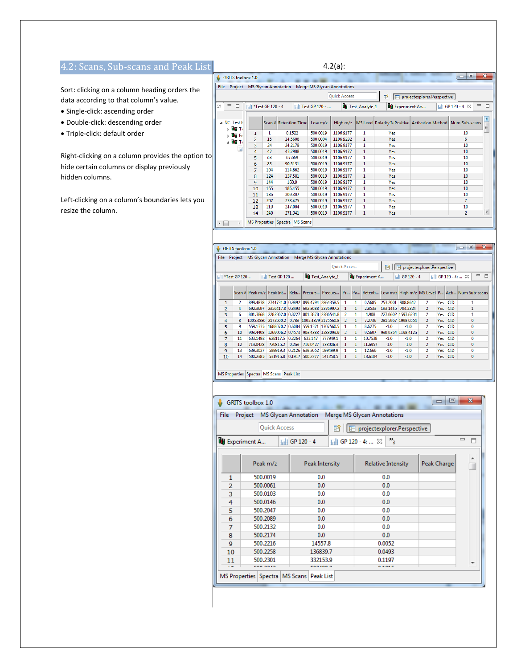# 4.2: Scans, Sub-scans and Peak List

Sort: clicking on a column heading orders the data according to that column's value.

- Single-click: ascending order
- Double-click: descending order
- Triple-click: default order

Right-clicking on a column provides the option to hide certain columns or display previously hidden columns.

Left-clicking on a column's boundaries lets you resize the column.

|                                                            |                                 |     |                                |                    | $4.2(a)$ :                  |                       |               |                                                               |                                                  |                          |
|------------------------------------------------------------|---------------------------------|-----|--------------------------------|--------------------|-----------------------------|-----------------------|---------------|---------------------------------------------------------------|--------------------------------------------------|--------------------------|
| GRITS toolbox 1.0<br>ů.                                    |                                 |     |                                |                    |                             |                       |               |                                                               | $\qquad \qquad \Box$<br>-                        | $\mathbf{x}$             |
| <b>File</b>                                                | Project MS Glycan Annotation    |     |                                |                    | Merge MS Glycan Annotations |                       |               |                                                               |                                                  |                          |
|                                                            |                                 |     |                                |                    | <b>Ouick Access</b>         |                       | 謟             | projectexplorer.Perspective                                   |                                                  |                          |
| $\qquad \qquad \Box$<br>$\Box$<br>x                        | In <sup>*</sup> Test GP 120 - 4 |     |                                | I.II Test GP 120 - |                             | <b>Test_Analyte_1</b> | Experiment An |                                                               | $\qquad \qquad \Box$<br>$  .  .$ GP 120 - 4 $\%$ |                          |
| ⊿ <sup>e</sup> a. Test i<br>$\triangleright$ <b>Big</b> To |                                 |     | Scan # Retention Time          | Low $m/z$          | High m/z                    |                       |               | MS Level Polarity Is Positive Activation Method Num Sub-scans |                                                  | $\frac{1}{\pi}$          |
| $\triangleright$ the $E$                                   | 1                               | 1   | 0.1522                         | 500.0019           | 1106.9177                   | 1                     | Yes           |                                                               | 10                                               |                          |
| ⊿ <b>UE</b> Ti                                             | 2                               | 15  | 14.5606                        | 500.0004           | 1106.9232                   | $\mathbf{1}$          | Yes           |                                                               | 6                                                |                          |
|                                                            | 3                               | 24  | 24.2179                        | 500.0019           | 1106.9177                   | 1                     | Yes           |                                                               | 10                                               |                          |
| $\mathbf{H}$                                               | 4                               | 42  | 43.2908                        | 500.0019           | 1106.9177                   | 1                     | Yes           |                                                               | 10                                               |                          |
|                                                            | 5                               | 63  | 67.669                         | 500.0019           | 1106.9177                   | 1                     | Yes           |                                                               | 10                                               |                          |
|                                                            | 6                               | 83  | 90.5131                        | 500.0019           | 1106.9177                   | 1                     | Yes           |                                                               | 10                                               |                          |
|                                                            | 7                               | 104 | 114.862                        | 500.0019           | 1106.9177                   | 1                     | Yes           |                                                               | 10                                               |                          |
|                                                            | 8                               | 124 | 137.581                        | 500.0019           | 1106.9177                   | 1                     | <b>Yes</b>    |                                                               | 10                                               |                          |
|                                                            | 9                               | 144 | 160.9                          | 500.0019           | 1106.9177                   | 1                     | Yes           |                                                               | 10                                               |                          |
|                                                            | 10                              | 165 | 185.455                        | 500.0019           | 1106.9177                   | $\mathbf{1}$          | Yes           |                                                               | 10                                               |                          |
|                                                            | 11                              | 186 | 209.307                        | 500.0019           | 1106.9177                   | 1                     | Yes           |                                                               | 10                                               |                          |
|                                                            | 12                              | 207 | 233.475                        | 500.0019           | 1106.9177                   | 1                     | Yes           |                                                               | 7                                                |                          |
|                                                            | 13                              | 219 | 247.004                        | 500.0019           | 1106.9177                   | 1                     | Yes           |                                                               | 10                                               |                          |
|                                                            | 14                              | 240 | 271.341                        | 500.0019           | 1106.9177                   | $\mathbf{1}$          | Yes           |                                                               | $\overline{a}$                                   | $\overline{\phantom{a}}$ |
| k                                                          |                                 |     | MS Properties Spectra MS Scans |                    |                             |                       |               |                                                               |                                                  |                          |
| <b>GRITS</b> toolbox 1.0                                   |                                 |     |                                |                    |                             |                       |               |                                                               | 回<br>$\Box$                                      | $\mathbf{x}$             |
|                                                            |                                 |     |                                |                    | -                           |                       |               |                                                               |                                                  |                          |

File Project MS Glycan Annotation Merge MS Glycan Annotations **Quick Access** P | | | | | | projectexplorer.Perspective  $\frac{1}{\|u\|}$  \*Test GP 120... Test\_Analyte\_1 **Ug** Experiment A... Inll GP 120 - 4  $\left| \frac{1}{\ln |I|} \right|$  GP 120 - 4: ...  $\approx$  $\begin{tabular}{ll} \hline \rule{0.2cm}{0.2cm} \rule{0.2cm}{0.2cm} \rule{0.2cm}{0.2cm} \rule{0.2cm}{0.2cm} \rule{0.2cm}{0.2cm} \rule{0.2cm}{0.2cm} \rule{0.2cm}{0.2cm} \rule{0.2cm}{0.2cm} \rule{0.2cm}{0.2cm} \rule{0.2cm}{0.2cm} \rule{0.2cm}{0.2cm} \rule{0.2cm}{0.2cm} \rule{0.2cm}{0.2cm} \rule{0.2cm}{0.2cm} \rule{0.2cm}{0.2cm} \rule{0.2cm}{0.2cm} \$ | | | | | Test GP 120 ... Scan # Peak m/z Peak Int... Rela... Precurs... Precurs... Pr... Pa... Retenti... Low m/z High m/z MS Level P... Acti... Num Sub-scans 899.4838 2744731.0 0.9892 899.4794 2864358.5 1  $\overline{\phantom{1}}$  $\overline{\mathbf{1}}$ 0.5685 253 2001 908 8642 Yes CID  $\frac{1}{2}$ 899.4838 2744731.0 0.9892 899.4794 2864358.5 1 1<br>692.3697 2356417.8 0.8493 692.3688 2376997.2 1 1<br>801.3868 2282802.0 0.8227 801.3878 2286541.8 2 1  $\overline{4}$  $Yes$   $CID$ 2.8533 193.1445 704.2324  $\overline{2}$  $\mathbf{1}$  $\overline{6}$ 4.908 227.0602 1597.6234 Yes CID  $\overline{4}$  $\bf{8}$ 1005.4886 2172500.2 0.783 1005.4879 2175560.8 2  $\boxed{1}$ 7.2736 281.5957 1998.0554  $Yes$   $CID$  $\overline{0}$ 5 ۰q 559.1335 1688070.2 0.6084 559.1321 1707560.5 1  $\overline{1}$ 8.6275  $-1.0$  $-1.0$ Yes CID  $\overline{0}$ 903.4408 1269006.2 0.4573 903.4383 1283099.9 2 9.5607 930.0354 1198.4126  $Yes$   $CID$  $10$  $\vert$  1  $\overline{2}$  $\pmb{0}$  $\overline{6}$  $\overline{11}$ 633.1492 628117.5 0.2264 633.147 777949.1  $\overline{1}$ 10.7538  $-1.0$  $-1.0$ Yes  $CID$ 719.0428 729815.2 0.263 719.0427 733006.3 1<br>639.3027 589919.3 0.2126 639.3052 599499.9 1 Yes CID<br>Yes CID  $\frac{8}{9}$ 12  $\vert 1 \vert$ 11.6957  $-1.0$  $-1.0$  $\overline{z}$  $\pmb{0}$  $\overline{13}$  $-1.0$  $-1.0$  $\overline{1}$ 12.666  $\overline{\mathbf{0}}$  $10$  $14$ 500.2385 531916.8 0.1917 500.2377 541258.5 1 1 13.6104  $\textbf{-1.0}$  $\textbf{-1.0}$  $\overline{2}$  $Yes$   $CID$  $\overline{\mathbf{0}}$ 

| MS Properties   Spectra   MS Scans   Peak List |  |  |  |  |
|------------------------------------------------|--|--|--|--|
|------------------------------------------------|--|--|--|--|

| File | Project                | <b>MS Glycan Annotation</b> | Merge MS Glycan Annotations             |             |                      |  |  |
|------|------------------------|-----------------------------|-----------------------------------------|-------------|----------------------|--|--|
|      | Quick Access           | 槄                           | P projectexplorer.Perspective           |             |                      |  |  |
|      | <b>Ug</b> Experiment A | $\frac{1}{2}$ GP 120 - 4    | $\frac{1}{2}$ GP 120 - 4: $\frac{1}{2}$ |             | $\qquad \qquad \Box$ |  |  |
|      | Peak m/z               | Peak Intensity              | <b>Relative Intensity</b>               | Peak Charge |                      |  |  |
| 1    | 500.0019               | 0.0                         | 0.0                                     |             |                      |  |  |
| 2    | 500.0061               | 0.0                         | 0.0                                     |             |                      |  |  |
| 3    | 500.0103               | 0.0                         | 0.0                                     |             |                      |  |  |
| 4    | 500.0146               | 0.0                         | 0.0                                     |             |                      |  |  |
| 5    | 500.2047               | 0.0                         | 0.0                                     |             |                      |  |  |
| 6    | 500.2089               | 0.0                         | 0.0                                     |             |                      |  |  |
| 7    | 500.2132               | 0.0                         | 0.0                                     |             |                      |  |  |
| 8    | 500.2174               | 0.0                         | 0.0                                     |             |                      |  |  |
| 9    | 500.2216               | 14557.8                     | 0.0052                                  |             |                      |  |  |
| 10   | 500.2258               | 136839.7                    | 0.0493                                  |             |                      |  |  |
| 11   | 500.2301               | 332153.9                    | 0.1197                                  |             |                      |  |  |
|      | <b>FAA ASIS</b>        | <b>CABINA</b>               | <b>ALANE</b>                            |             |                      |  |  |